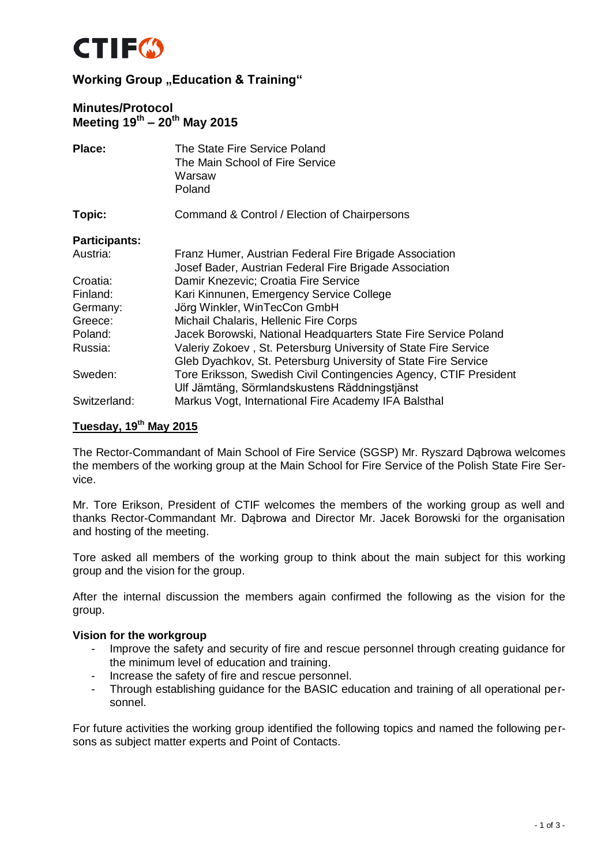

### **Minutes/Protocol Meeting 19th – 20th May 2015**

| Place:               | The State Fire Service Poland<br>The Main School of Fire Service<br>Warsaw<br>Poland                             |
|----------------------|------------------------------------------------------------------------------------------------------------------|
| Topic:               | Command & Control / Election of Chairpersons                                                                     |
| <b>Participants:</b> |                                                                                                                  |
| Austria:             | Franz Humer, Austrian Federal Fire Brigade Association<br>Josef Bader, Austrian Federal Fire Brigade Association |
| Croatia:             | Damir Knezevic; Croatia Fire Service                                                                             |
| Finland:             | Kari Kinnunen, Emergency Service College                                                                         |
| Germany:             | Jörg Winkler, WinTecCon GmbH                                                                                     |
| Greece:              | Michail Chalaris, Hellenic Fire Corps                                                                            |
| Poland:              | Jacek Borowski, National Headquarters State Fire Service Poland                                                  |
| Russia:              | Valeriy Zokoev, St. Petersburg University of State Fire Service                                                  |
|                      | Gleb Dyachkov, St. Petersburg University of State Fire Service                                                   |
| Sweden:              | Tore Eriksson, Swedish Civil Contingencies Agency, CTIF President                                                |
|                      | Ulf Jämtäng, Sörmlandskustens Räddningstjänst                                                                    |
| Switzerland:         | Markus Vogt, International Fire Academy IFA Balsthal                                                             |

# **Tuesday, 19th May 2015**

The Rector-Commandant of Main School of Fire Service (SGSP) Mr. Ryszard Dąbrowa welcomes the members of the working group at the Main School for Fire Service of the Polish State Fire Service.

Mr. Tore Erikson, President of CTIF welcomes the members of the working group as well and thanks Rector-Commandant Mr. Dąbrowa and Director Mr. Jacek Borowski for the organisation and hosting of the meeting.

Tore asked all members of the working group to think about the main subject for this working group and the vision for the group.

After the internal discussion the members again confirmed the following as the vision for the group.

#### **Vision for the workgroup**

- Improve the safety and security of fire and rescue personnel through creating guidance for the minimum level of education and training.
- Increase the safety of fire and rescue personnel.
- Through establishing guidance for the BASIC education and training of all operational personnel.

For future activities the working group identified the following topics and named the following persons as subject matter experts and Point of Contacts.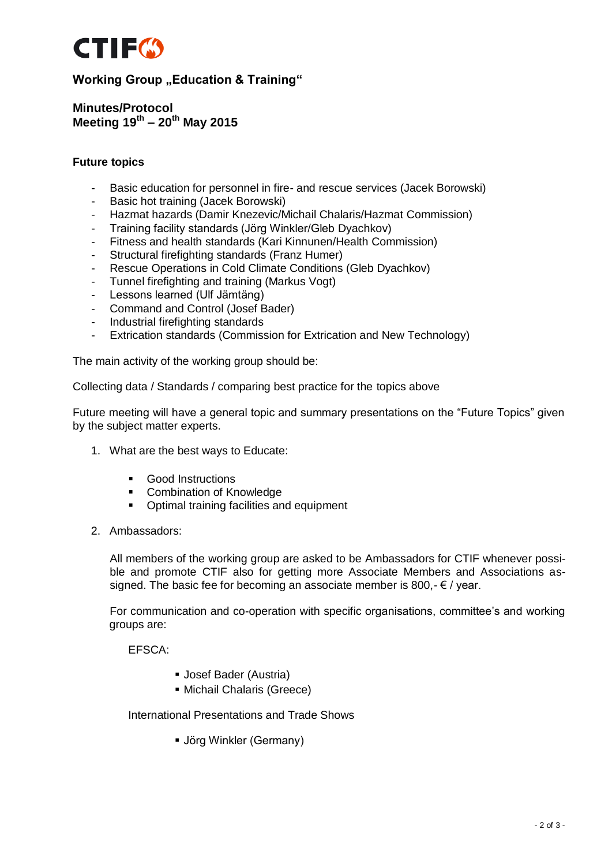

**Minutes/Protocol Meeting 19th – 20th May 2015**

### **Future topics**

- Basic education for personnel in fire- and rescue services (Jacek Borowski)
- Basic hot training (Jacek Borowski)
- Hazmat hazards (Damir Knezevic/Michail Chalaris/Hazmat Commission)
- Training facility standards (Jörg Winkler/Gleb Dyachkov)
- Fitness and health standards (Kari Kinnunen/Health Commission)
- Structural firefighting standards (Franz Humer)
- Rescue Operations in Cold Climate Conditions (Gleb Dyachkov)
- Tunnel firefighting and training (Markus Vogt)
- Lessons learned (Ulf Jämtäng)
- Command and Control (Josef Bader)
- Industrial firefighting standards
- Extrication standards (Commission for Extrication and New Technology)

The main activity of the working group should be:

Collecting data / Standards / comparing best practice for the topics above

Future meeting will have a general topic and summary presentations on the "Future Topics" given by the subject matter experts.

- 1. What are the best ways to Educate:
	- **Good Instructions**
	- Combination of Knowledge
	- **•** Optimal training facilities and equipment
- 2. Ambassadors:

All members of the working group are asked to be Ambassadors for CTIF whenever possible and promote CTIF also for getting more Associate Members and Associations assigned. The basic fee for becoming an associate member is 800,- $\epsilon$  / year.

For communication and co-operation with specific organisations, committee's and working groups are:

EFSCA:

- Josef Bader (Austria)
- Michail Chalaris (Greece)

International Presentations and Trade Shows

Jörg Winkler (Germany)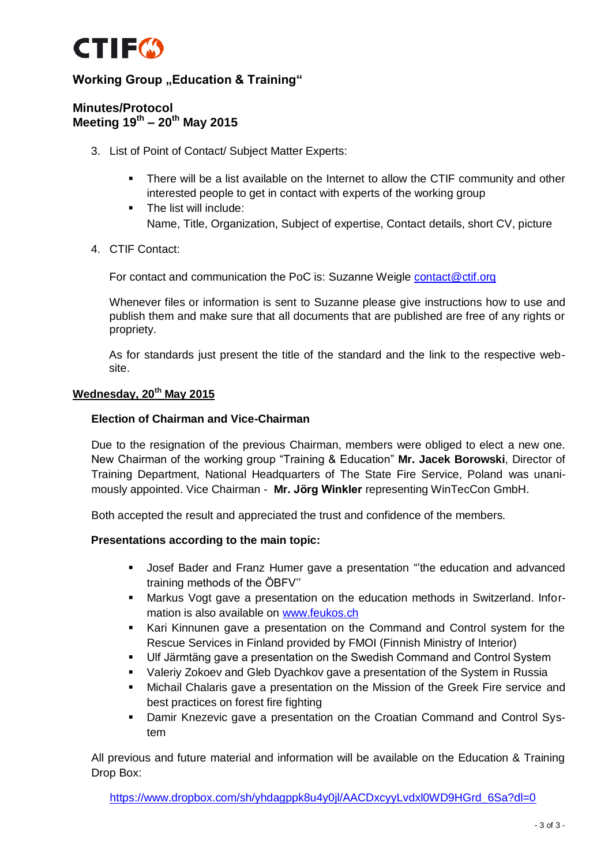

### **Minutes/Protocol Meeting 19th – 20th May 2015**

- 3. List of Point of Contact/ Subject Matter Experts:
	- There will be a list available on the Internet to allow the CTIF community and other interested people to get in contact with experts of the working group
		- The list will include: Name, Title, Organization, Subject of expertise, Contact details, short CV, picture
- 4. CTIF Contact:

For contact and communication the PoC is: Suzanne Weigle [contact@ctif.org](mailto:contact@ctif.org)

Whenever files or information is sent to Suzanne please give instructions how to use and publish them and make sure that all documents that are published are free of any rights or propriety.

As for standards just present the title of the standard and the link to the respective website.

### **Wednesday, 20th May 2015**

### **Election of Chairman and Vice-Chairman**

Due to the resignation of the previous Chairman, members were obliged to elect a new one. New Chairman of the working group "Training & Education" **Mr. Jacek Borowski**, Director of Training Department, National Headquarters of The State Fire Service, Poland was unanimously appointed. Vice Chairman - **Mr. Jörg Winkler** representing WinTecCon GmbH.

Both accepted the result and appreciated the trust and confidence of the members.

### **Presentations according to the main topic:**

- Josef Bader and Franz Humer gave a presentation "'the education and advanced training methods of the ÖBFV''
- Markus Vogt gave a presentation on the education methods in Switzerland. Information is also available on [www.feukos.ch](http://www.feukos.ch/)
- Kari Kinnunen gave a presentation on the Command and Control system for the Rescue Services in Finland provided by FMOI (Finnish Ministry of Interior)
- Ulf Järmtäng gave a presentation on the Swedish Command and Control System
- Valeriy Zokoev and Gleb Dyachkov gave a presentation of the System in Russia
- Michail Chalaris gave a presentation on the Mission of the Greek Fire service and best practices on forest fire fighting
- Damir Knezevic gave a presentation on the Croatian Command and Control System

All previous and future material and information will be available on the Education & Training Drop Box:

[https://www.dropbox.com/sh/yhdagppk8u4y0jl/AACDxcyyLvdxl0WD9HGrd\\_6Sa?dl=0](https://www.dropbox.com/sh/yhdagppk8u4y0jl/AACDxcyyLvdxl0WD9HGrd_6Sa?dl=0)